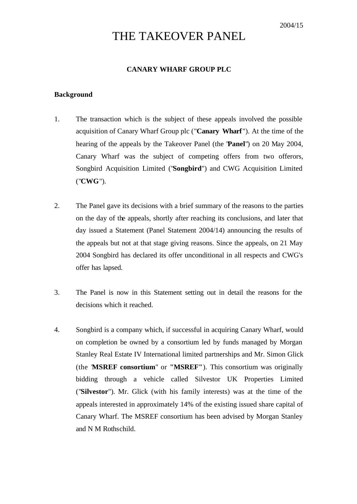# THE TAKEOVER PANEL

# **CANARY WHARF GROUP PLC**

#### **Background**

- 1. The transaction which is the subject of these appeals involved the possible acquisition of Canary Wharf Group plc ("**Canary Wharf**"). At the time of the hearing of the appeals by the Takeover Panel (the "**Panel**") on 20 May 2004, Canary Wharf was the subject of competing offers from two offerors, Songbird Acquisition Limited ("**Songbird**") and CWG Acquisition Limited ("**CWG**").
- 2. The Panel gave its decisions with a brief summary of the reasons to the parties on the day of the appeals, shortly after reaching its conclusions, and later that day issued a Statement (Panel Statement 2004/14) announcing the results of the appeals but not at that stage giving reasons. Since the appeals, on 21 May 2004 Songbird has declared its offer unconditional in all respects and CWG's offer has lapsed.
- 3. The Panel is now in this Statement setting out in detail the reasons for the decisions which it reached.
- 4. Songbird is a company which, if successful in acquiring Canary Wharf, would on completion be owned by a consortium led by funds managed by Morgan Stanley Real Estate IV International limited partnerships and Mr. Simon Glick (the "**MSREF consortium**" or **"MSREF"**). This consortium was originally bidding through a vehicle called Silvestor UK Properties Limited ("**Silvestor**"). Mr. Glick (with his family interests) was at the time of the appeals interested in approximately 14% of the existing issued share capital of Canary Wharf. The MSREF consortium has been advised by Morgan Stanley and N M Rothschild.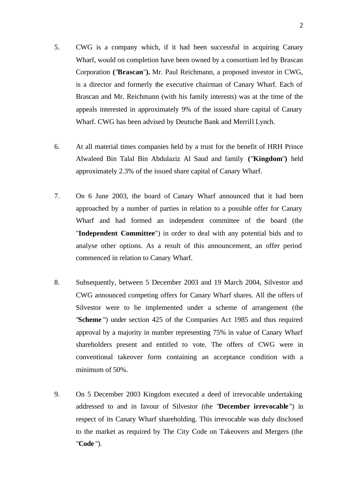- 5. CWG is a company which, if it had been successful in acquiring Canary Wharf, would on completion have been owned by a consortium led by Brascan Corporation **(**"**Brascan**"**).** Mr. Paul Reichmann, a proposed investor in CWG, is a director and formerly the executive chairman of Canary Wharf. Each of Brascan and Mr. Reichmann (with his family interests) was at the time of the appeals interested in approximately 9% of the issued share capital of Canary Wharf. CWG has been advised by Deutsche Bank and Merrill Lynch.
- 6. At all material times companies held by a trust for the benefit of HRH Prince Alwaleed Bin Talal Bin Abdulaziz Al Saud and family **(**"**Kingdom**"**)** held approximately 2.3% of the issued share capital of Canary Wharf.
- 7. On 6 June 2003, the board of Canary Wharf announced that it had been approached by a number of parties in relation to a possible offer for Canary Wharf and had formed an independent committee of the board (the "**Independent Committee**") in order to deal with any potential bids and to analyse other options. As a result of this announcement, an offer period commenced in relation to Canary Wharf.
- 8. Subsequently, between 5 December 2003 and 19 March 2004, Silvestor and CWG announced competing offers for Canary Wharf shares. All the offers of Silvestor were to be implemented under a scheme of arrangement (the "**Scheme** ") under section 425 of the Companies Act 1985 and thus required approval by a majority in number representing 75% in value of Canary Wharf shareholders present and entitled to vote. The offers of CWG were in conventional takeover form containing an acceptance condition with a minimum of 50%.
- 9. On 5 December 2003 Kingdom executed a deed of irrevocable undertaking addressed to and in favour of Silvestor (the "**December irrevocable** ") in respect of its Canary Wharf shareholding. This irrevocable was duly disclosed to the market as required by The City Code on Takeovers and Mergers (the "**Code** ").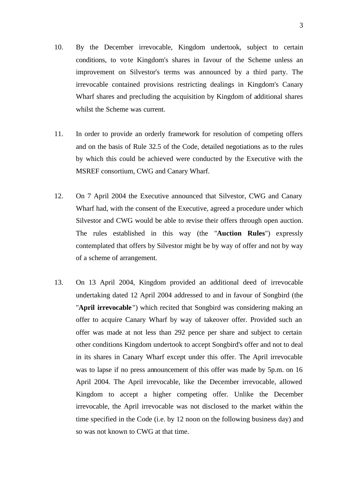- 10. By the December irrevocable, Kingdom undertook, subject to certain conditions, to vote Kingdom's shares in favour of the Scheme unless an improvement on Silvestor's terms was announced by a third party. The irrevocable contained provisions restricting dealings in Kingdom's Canary Wharf shares and precluding the acquisition by Kingdom of additional shares whilst the Scheme was current.
- 11. In order to provide an orderly framework for resolution of competing offers and on the basis of Rule 32.5 of the Code, detailed negotiations as to the rules by which this could be achieved were conducted by the Executive with the MSREF consortium, CWG and Canary Wharf.
- 12. On 7 April 2004 the Executive announced that Silvestor, CWG and Canary Wharf had, with the consent of the Executive, agreed a procedure under which Silvestor and CWG would be able to revise their offers through open auction. The rules established in this way (the "**Auction Rules**") expressly contemplated that offers by Silvestor might be by way of offer and not by way of a scheme of arrangement.
- 13. On 13 April 2004, Kingdom provided an additional deed of irrevocable undertaking dated 12 April 2004 addressed to and in favour of Songbird (the "**April irrevocable** ") which recited that Songbird was considering making an offer to acquire Canary Wharf by way of takeover offer. Provided such an offer was made at not less than 292 pence per share and subject to certain other conditions Kingdom undertook to accept Songbird's offer and not to deal in its shares in Canary Wharf except under this offer. The April irrevocable was to lapse if no press announcement of this offer was made by 5p.m. on 16 April 2004. The April irrevocable, like the December irrevocable, allowed Kingdom to accept a higher competing offer. Unlike the December irrevocable, the April irrevocable was not disclosed to the market within the time specified in the Code (i.e. by 12 noon on the following business day) and so was not known to CWG at that time.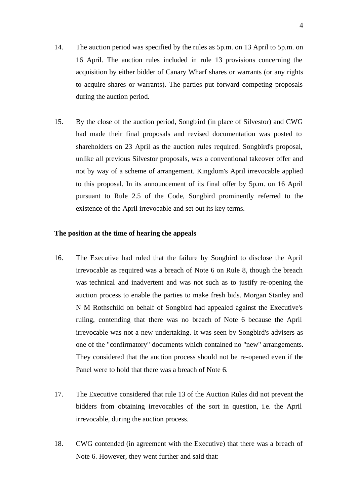- 14. The auction period was specified by the rules as 5p.m. on 13 April to 5p.m. on 16 April. The auction rules included in rule 13 provisions concerning the acquisition by either bidder of Canary Wharf shares or warrants (or any rights to acquire shares or warrants). The parties put forward competing proposals during the auction period.
- 15. By the close of the auction period, Songbird (in place of Silvestor) and CWG had made their final proposals and revised documentation was posted to shareholders on 23 April as the auction rules required. Songbird's proposal, unlike all previous Silvestor proposals, was a conventional takeover offer and not by way of a scheme of arrangement. Kingdom's April irrevocable applied to this proposal. In its announcement of its final offer by 5p.m. on 16 April pursuant to Rule 2.5 of the Code, Songbird prominently referred to the existence of the April irrevocable and set out its key terms.

# **The position at the time of hearing the appeals**

- 16. The Executive had ruled that the failure by Songbird to disclose the April irrevocable as required was a breach of Note 6 on Rule 8, though the breach was technical and inadvertent and was not such as to justify re-opening the auction process to enable the parties to make fresh bids. Morgan Stanley and N M Rothschild on behalf of Songbird had appealed against the Executive's ruling, contending that there was no breach of Note 6 because the April irrevocable was not a new undertaking. It was seen by Songbird's advisers as one of the "confirmatory" documents which contained no "new" arrangements. They considered that the auction process should not be re-opened even if the Panel were to hold that there was a breach of Note 6.
- 17. The Executive considered that rule 13 of the Auction Rules did not prevent the bidders from obtaining irrevocables of the sort in question, i.e. the April irrevocable, during the auction process.
- 18. CWG contended (in agreement with the Executive) that there was a breach of Note 6. However, they went further and said that: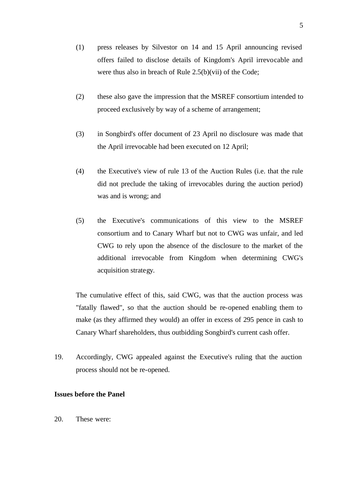- (1) press releases by Silvestor on 14 and 15 April announcing revised offers failed to disclose details of Kingdom's April irrevocable and were thus also in breach of Rule 2.5(b)(vii) of the Code;
- (2) these also gave the impression that the MSREF consortium intended to proceed exclusively by way of a scheme of arrangement;
- (3) in Songbird's offer document of 23 April no disclosure was made that the April irrevocable had been executed on 12 April;
- (4) the Executive's view of rule 13 of the Auction Rules (i.e. that the rule did not preclude the taking of irrevocables during the auction period) was and is wrong; and
- (5) the Executive's communications of this view to the MSREF consortium and to Canary Wharf but not to CWG was unfair, and led CWG to rely upon the absence of the disclosure to the market of the additional irrevocable from Kingdom when determining CWG's acquisition strategy.

The cumulative effect of this, said CWG, was that the auction process was "fatally flawed", so that the auction should be re-opened enabling them to make (as they affirmed they would) an offer in excess of 295 pence in cash to Canary Wharf shareholders, thus outbidding Songbird's current cash offer.

19. Accordingly, CWG appealed against the Executive's ruling that the auction process should not be re-opened.

# **Issues before the Panel**

20. These were: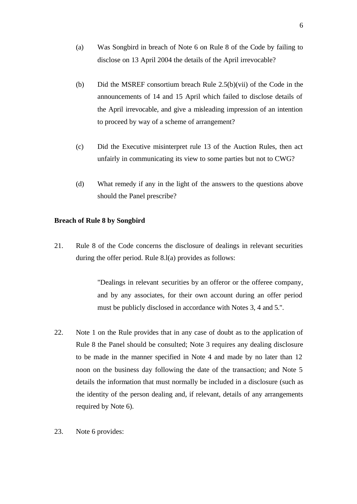- (a) Was Songbird in breach of Note 6 on Rule 8 of the Code by failing to disclose on 13 April 2004 the details of the April irrevocable?
- (b) Did the MSREF consortium breach Rule 2.5(b)(vii) of the Code in the announcements of 14 and 15 April which failed to disclose details of the April irrevocable, and give a misleading impression of an intention to proceed by way of a scheme of arrangement?
- (c) Did the Executive misinterpret rule 13 of the Auction Rules, then act unfairly in communicating its view to some parties but not to CWG?
- (d) What remedy if any in the light of the answers to the questions above should the Panel prescribe?

# **Breach of Rule 8 by Songbird**

21. Rule 8 of the Code concerns the disclosure of dealings in relevant securities during the offer period. Rule 8.l(a) provides as follows:

> "Dealings in relevant securities by an offeror or the offeree company, and by any associates, for their own account during an offer period must be publicly disclosed in accordance with Notes 3, 4 and 5.".

- 22. Note 1 on the Rule provides that in any case of doubt as to the application of Rule 8 the Panel should be consulted; Note 3 requires any dealing disclosure to be made in the manner specified in Note 4 and made by no later than 12 noon on the business day following the date of the transaction; and Note 5 details the information that must normally be included in a disclosure (such as the identity of the person dealing and, if relevant, details of any arrangements required by Note 6).
- 23. Note 6 provides: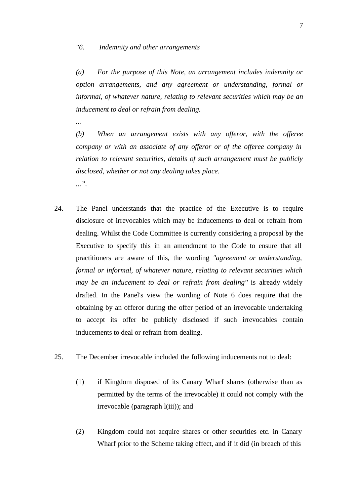## *"6. Indemnity and other arrangements*

*...*

*(a) For the purpose of this Note, an arrangement includes indemnity or option arrangements, and any agreement or understanding, formal or informal, of whatever nature, relating to relevant securities which may be an inducement to deal or refrain from dealing.*

- *(b) When an arrangement exists with any offeror, with the offeree company or with an associate of any offeror or of the offeree company in relation to relevant securities, details of such arrangement must be publicly disclosed, whether or not any dealing takes place. ...".*
- 24. The Panel understands that the practice of the Executive is to require disclosure of irrevocables which may be inducements to deal or refrain from dealing. Whilst the Code Committee is currently considering a proposal by the Executive to specify this in an amendment to the Code to ensure that all practitioners are aware of this, the wording *''agreement or understanding, formal or informal, of whatever nature, relating to relevant securities which may be an inducement to deal or refrain from dealing''* is already widely drafted. In the Panel's view the wording of Note 6 does require that the obtaining by an offeror during the offer period of an irrevocable undertaking to accept its offer be publicly disclosed if such irrevocables contain inducements to deal or refrain from dealing.
- 25. The December irrevocable included the following inducements not to deal:
	- (1) if Kingdom disposed of its Canary Wharf shares (otherwise than as permitted by the terms of the irrevocable) it could not comply with the irrevocable (paragraph l(iii)); and
	- (2) Kingdom could not acquire shares or other securities etc. in Canary Wharf prior to the Scheme taking effect, and if it did (in breach of this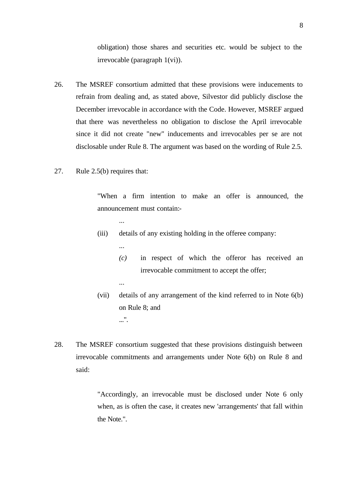obligation) those shares and securities etc. would be subject to the irrevocable (paragraph 1(vi)).

- 26. The MSREF consortium admitted that these provisions were inducements to refrain from dealing and, as stated above, Silvestor did publicly disclose the December irrevocable in accordance with the Code. However, MSREF argued that there was nevertheless no obligation to disclose the April irrevocable since it did not create "new" inducements and irrevocables per se are not disclosable under Rule 8. The argument was based on the wording of Rule 2.5.
- 27. Rule 2.5(b) requires that:

...

...

...

"When a firm intention to make an offer is announced, the announcement must contain:-

- (iii) details of any existing holding in the offeree company:
	- *(c)* in respect of which the offeror has received an irrevocable commitment to accept the offer;
- (vii) details of any arrangement of the kind referred to in Note 6(b) on Rule 8; and ...".
- 28. The MSREF consortium suggested that these provisions distinguish between irrevocable commitments and arrangements under Note 6(b) on Rule 8 and said:

"Accordingly, an irrevocable must be disclosed under Note 6 only when, as is often the case, it creates new 'arrangements' that fall within the Note.".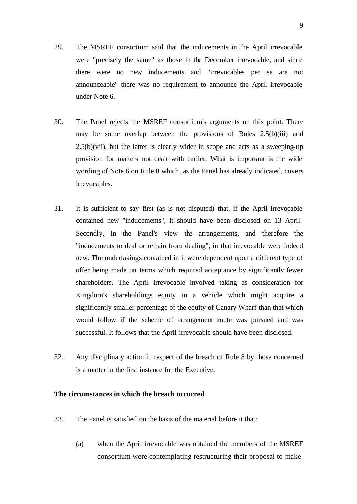- 29. The MSREF consortium said that the inducements in the April irrevocable were "precisely the same" as those in the December irrevocable, and since there were no new inducements and "irrevocables per se are not announceable" there was no requirement to announce the April irrevocable under Note 6.
- 30. The Panel rejects the MSREF consortium's arguments on this point. There may be some overlap between the provisions of Rules 2.5(b)(iii) and  $2.5(b)(vii)$ , but the latter is clearly wider in scope and acts as a sweeping-up provision for matters not dealt with earlier. What is important is the wide wording of Note 6 on Rule 8 which, as the Panel has already indicated, covers irrevocables.
- 31. It is sufficient to say first (as is not disputed) that, if the April irrevocable contained new "inducements", it should have been disclosed on 13 April. Secondly, in the Panel's view the arrangements, and therefore the "inducements to deal or refrain from dealing", in that irrevocable were indeed new. The undertakings contained in it were dependent upon a different type of offer being made on terms which required acceptance by significantly fewer shareholders. The April irrevocable involved taking as consideration for Kingdom's shareholdings equity in a vehicle which might acquire a significantly smaller percentage of the equity of Canary Wharf than that which would follow if the scheme of arrangement route was pursued and was successful. It follows that the April irrevocable should have been disclosed.
- 32. Any disciplinary action in respect of the breach of Rule 8 by those concerned is a matter in the first instance for the Executive.

#### **The circumstances in which the breach occurred**

- 33. The Panel is satisfied on the basis of the material before it that:
	- (a) when the April irrevocable was obtained the members of the MSREF consortium were contemplating restructuring their proposal to make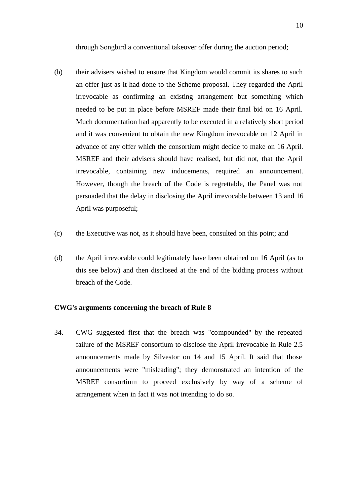through Songbird a conventional takeover offer during the auction period;

- (b) their advisers wished to ensure that Kingdom would commit its shares to such an offer just as it had done to the Scheme proposal. They regarded the April irrevocable as confirming an existing arrangement but something which needed to be put in place before MSREF made their final bid on 16 April. Much documentation had apparently to be executed in a relatively short period and it was convenient to obtain the new Kingdom irrevocable on 12 April in advance of any offer which the consortium might decide to make on 16 April. MSREF and their advisers should have realised, but did not, that the April irrevocable, containing new inducements, required an announcement. However, though the breach of the Code is regrettable, the Panel was not persuaded that the delay in disclosing the April irrevocable between 13 and 16 April was purposeful;
- (c) the Executive was not, as it should have been, consulted on this point; and
- (d) the April irrevocable could legitimately have been obtained on 16 April (as to this see below) and then disclosed at the end of the bidding process without breach of the Code.

#### **CWG's arguments concerning the breach of Rule 8**

34. CWG suggested first that the breach was "compounded" by the repeated failure of the MSREF consortium to disclose the April irrevocable in Rule 2.5 announcements made by Silvestor on 14 and 15 April. It said that those announcements were "misleading"; they demonstrated an intention of the MSREF consortium to proceed exclusively by way of a scheme of arrangement when in fact it was not intending to do so.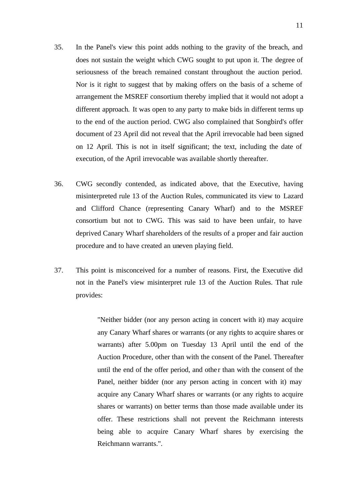- 35. In the Panel's view this point adds nothing to the gravity of the breach, and does not sustain the weight which CWG sought to put upon it. The degree of seriousness of the breach remained constant throughout the auction period. Nor is it right to suggest that by making offers on the basis of a scheme of arrangement the MSREF consortium thereby implied that it would not adopt a different approach. It was open to any party to make bids in different terms up to the end of the auction period. CWG also complained that Songbird's offer document of 23 April did not reveal that the April irrevocable had been signed on 12 April. This is not in itself significant; the text, including the date of execution, of the April irrevocable was available shortly thereafter.
- 36. CWG secondly contended, as indicated above, that the Executive, having misinterpreted rule 13 of the Auction Rules, communicated its view to Lazard and Clifford Chance (representing Canary Wharf) and to the MSREF consortium but not to CWG. This was said to have been unfair, to have deprived Canary Wharf shareholders of the results of a proper and fair auction procedure and to have created an uneven playing field.
- 37. This point is misconceived for a number of reasons. First, the Executive did not in the Panel's view misinterpret rule 13 of the Auction Rules. That rule provides:

"Neither bidder (nor any person acting in concert with it) may acquire any Canary Wharf shares or warrants (or any rights to acquire shares or warrants) after 5.00pm on Tuesday 13 April until the end of the Auction Procedure, other than with the consent of the Panel. Thereafter until the end of the offer period, and other than with the consent of the Panel, neither bidder (nor any person acting in concert with it) may acquire any Canary Wharf shares or warrants (or any rights to acquire shares or warrants) on better terms than those made available under its offer. These restrictions shall not prevent the Reichmann interests being able to acquire Canary Wharf shares by exercising the Reichmann warrants.".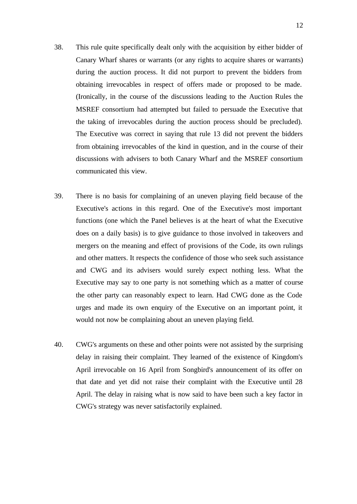- 38. This rule quite specifically dealt only with the acquisition by either bidder of Canary Wharf shares or warrants (or any rights to acquire shares or warrants) during the auction process. It did not purport to prevent the bidders from obtaining irrevocables in respect of offers made or proposed to be made. (Ironically, in the course of the discussions leading to the Auction Rules the MSREF consortium had attempted but failed to persuade the Executive that the taking of irrevocables during the auction process should be precluded). The Executive was correct in saying that rule 13 did not prevent the bidders from obtaining irrevocables of the kind in question, and in the course of their discussions with advisers to both Canary Wharf and the MSREF consortium communicated this view.
- 39. There is no basis for complaining of an uneven playing field because of the Executive's actions in this regard. One of the Executive's most important functions (one which the Panel believes is at the heart of what the Executive does on a daily basis) is to give guidance to those involved in takeovers and mergers on the meaning and effect of provisions of the Code, its own rulings and other matters. It respects the confidence of those who seek such assistance and CWG and its advisers would surely expect nothing less. What the Executive may say to one party is not something which as a matter of course the other party can reasonably expect to learn. Had CWG done as the Code urges and made its own enquiry of the Executive on an important point, it would not now be complaining about an uneven playing field.
- 40. CWG's arguments on these and other points were not assisted by the surprising delay in raising their complaint. They learned of the existence of Kingdom's April irrevocable on 16 April from Songbird's announcement of its offer on that date and yet did not raise their complaint with the Executive until 28 April. The delay in raising what is now said to have been such a key factor in CWG's strategy was never satisfactorily explained.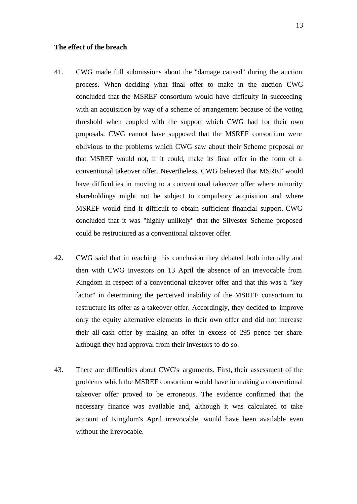#### **The effect of the breach**

- 41. CWG made full submissions about the "damage caused" during the auction process. When deciding what final offer to make in the auction CWG concluded that the MSREF consortium would have difficulty in succeeding with an acquisition by way of a scheme of arrangement because of the voting threshold when coupled with the support which CWG had for their own proposals. CWG cannot have supposed that the MSREF consortium were oblivious to the problems which CWG saw about their Scheme proposal or that MSREF would not, if it could, make its final offer in the form of a conventional takeover offer. Nevertheless, CWG believed that MSREF would have difficulties in moving to a conventional takeover offer where minority shareholdings might not be subject to compulsory acquisition and where MSREF would find it difficult to obtain sufficient financial support. CWG concluded that it was "highly unlikely" that the Silvester Scheme proposed could be restructured as a conventional takeover offer.
- 42. CWG said that in reaching this conclusion they debated both internally and then with CWG investors on 13 April the absence of an irrevocable from Kingdom in respect of a conventional takeover offer and that this was a "key factor" in determining the perceived inability of the MSREF consortium to restructure its offer as a takeover offer. Accordingly, they decided to improve only the equity alternative elements in their own offer and did not increase their all-cash offer by making an offer in excess of 295 pence per share although they had approval from their investors to do so.
- 43. There are difficulties about CWG's arguments. First, their assessment of the problems which the MSREF consortium would have in making a conventional takeover offer proved to be erroneous. The evidence confirmed that the necessary finance was available and, although it was calculated to take account of Kingdom's April irrevocable, would have been available even without the irrevocable.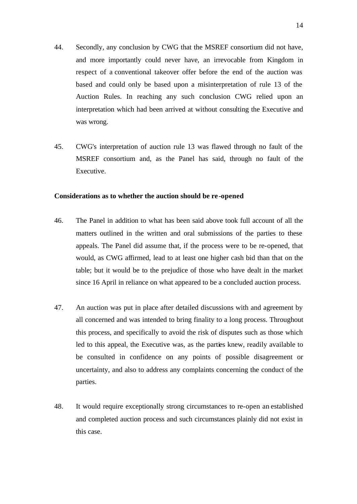- 44. Secondly, any conclusion by CWG that the MSREF consortium did not have, and more importantly could never have, an irrevocable from Kingdom in respect of a conventional takeover offer before the end of the auction was based and could only be based upon a misinterpretation of rule 13 of the Auction Rules. In reaching any such conclusion CWG relied upon an interpretation which had been arrived at without consulting the Executive and was wrong.
- 45. CWG's interpretation of auction rule 13 was flawed through no fault of the MSREF consortium and, as the Panel has said, through no fault of the Executive.

#### **Considerations as to whether the auction should be re -opened**

- 46. The Panel in addition to what has been said above took full account of all the matters outlined in the written and oral submissions of the parties to these appeals. The Panel did assume that, if the process were to be re-opened, that would, as CWG affirmed, lead to at least one higher cash bid than that on the table; but it would be to the prejudice of those who have dealt in the market since 16 April in reliance on what appeared to be a concluded auction process.
- 47. An auction was put in place after detailed discussions with and agreement by all concerned and was intended to bring finality to a long process. Throughout this process, and specifically to avoid the risk of disputes such as those which led to this appeal, the Executive was, as the parties knew, readily available to be consulted in confidence on any points of possible disagreement or uncertainty, and also to address any complaints concerning the conduct of the parties.
- 48. It would require exceptionally strong circumstances to re-open an established and completed auction process and such circumstances plainly did not exist in this case.